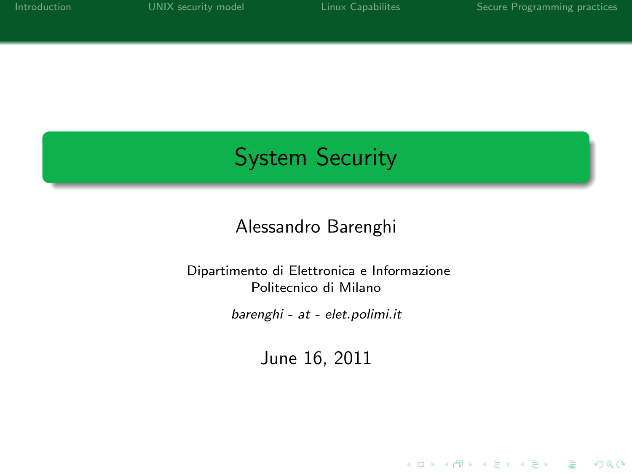K ロ ▶ K @ ▶ K 할 > K 할 > 1 할 > 1 이익어

# System Security

### Alessandro Barenghi

#### Dipartimento di Elettronica e Informazione Politecnico di Milano

barenghi - at - elet.polimi.it

June 16, 2011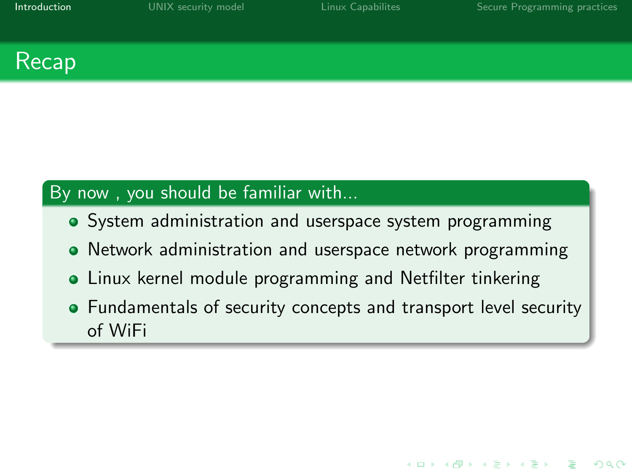### Recap

### By now, you should be familiar with...

- System administration and userspace system programming
- Network administration and userspace network programming
- Linux kernel module programming and Netfilter tinkering
- <span id="page-1-0"></span>• Fundamentals of security concepts and transport level security of WiFi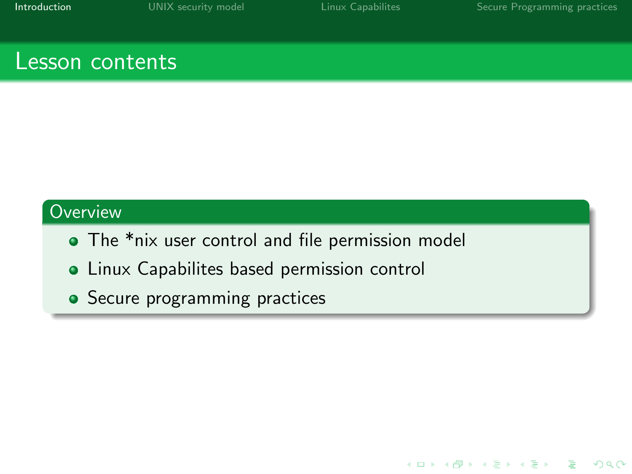K ロ > K 個 > K 差 > K 差 > → 差 → の Q Q →

### Lesson contents

### **Overview**

- The \*nix user control and file permission model
- **Linux Capabilites based permission control**
- Secure programming practices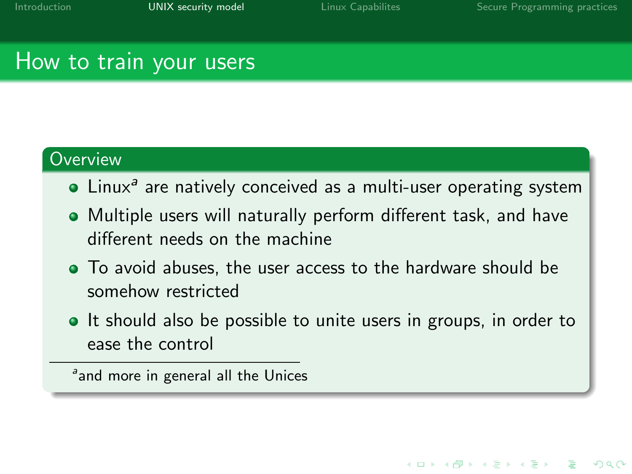### How to train your users

#### **Overview**

- Linux<sup>a</sup> are natively conceived as a multi-user operating system
- Multiple users will naturally perform different task, and have different needs on the machine
- To avoid abuses, the user access to the hardware should be somehow restricted
- It should also be possible to unite users in groups, in order to ease the control

<span id="page-3-0"></span><sup>a</sup>and more in general all the Unices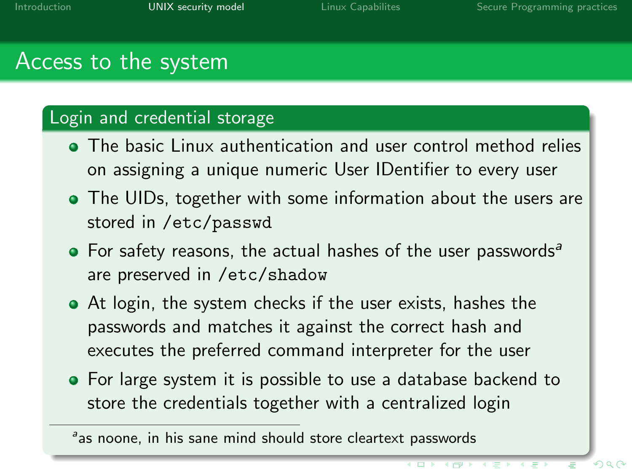### Access to the system

#### Login and credential storage

- The basic Linux authentication and user control method relies on assigning a unique numeric User IDentifier to every user
- The UIDs, together with some information about the users are stored in /etc/passwd
- $\bullet$  For safety reasons, the actual hashes of the user passwords<sup>a</sup> are preserved in /etc/shadow
- At login, the system checks if the user exists, hashes the passwords and matches it against the correct hash and executes the preferred command interpreter for the user
- For large system it is possible to use a database backend to store the credentials together with a centralized login

as noone, in his sane mind should store cleartext passwords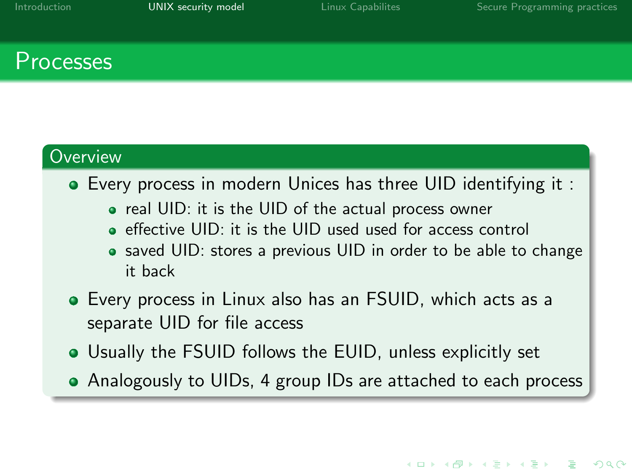### Processes

#### **Overview**

- Every process in modern Unices has three UID identifying it :
	- real UID: it is the UID of the actual process owner
	- effective UID: it is the UID used used for access control
	- saved UID: stores a previous UID in order to be able to change it back
- Every process in Linux also has an FSUID, which acts as a separate UID for file access
- Usually the FSUID follows the EUID, unless explicitly set
- Analogously to UIDs, 4 group IDs are attached to each process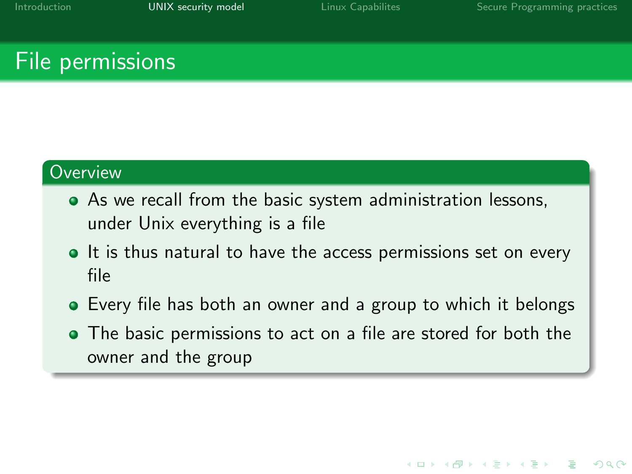K ロ ▶ K @ ▶ K 할 ▶ K 할 ▶ 이 할 → 9 Q @

### File permissions

#### **Overview**

- As we recall from the basic system administration lessons, under Unix everything is a file
- It is thus natural to have the access permissions set on every file
- Every file has both an owner and a group to which it belongs
- The basic permissions to act on a file are stored for both the owner and the group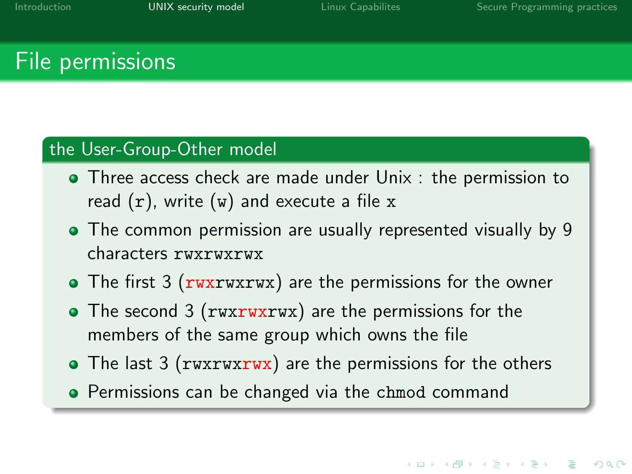### File permissions

#### the User-Group-Other model

- **•** Three access check are made under Unix : the permission to read  $(r)$ , write  $(w)$  and execute a file x
- The common permission are usually represented visually by 9 characters rwxrwxrwx
- The first 3 (rwxrwxrwx) are the permissions for the owner
- The second 3 (rwxrwxrwx) are the permissions for the members of the same group which owns the file
- The last 3 (rwxrwxrwx) are the permissions for the others
- **Permissions can be changed via the chmod command**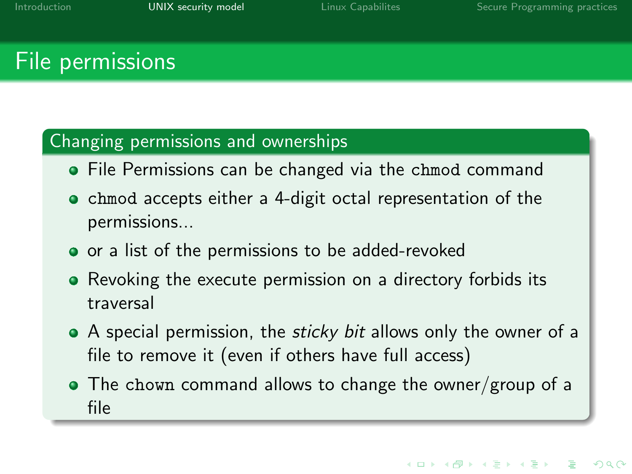### File permissions

#### Changing permissions and ownerships

- **File Permissions can be changed via the chmod command**
- chmod accepts either a 4-digit octal representation of the permissions...
- or a list of the permissions to be added-revoked
- Revoking the execute permission on a directory forbids its traversal
- A special permission, the *sticky bit* allows only the owner of a file to remove it (even if others have full access)
- The chown command allows to change the owner/group of a file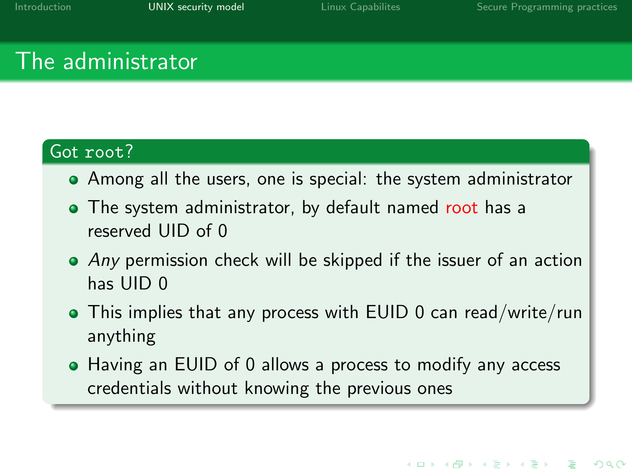### The administrator

### Got root?

- Among all the users, one is special: the system administrator
- The system administrator, by default named root has a reserved UID of 0
- Any permission check will be skipped if the issuer of an action has UID 0
- This implies that any process with EUID 0 can read/write/run anything
- Having an EUID of 0 allows a process to modify any access credentials without knowing the previous ones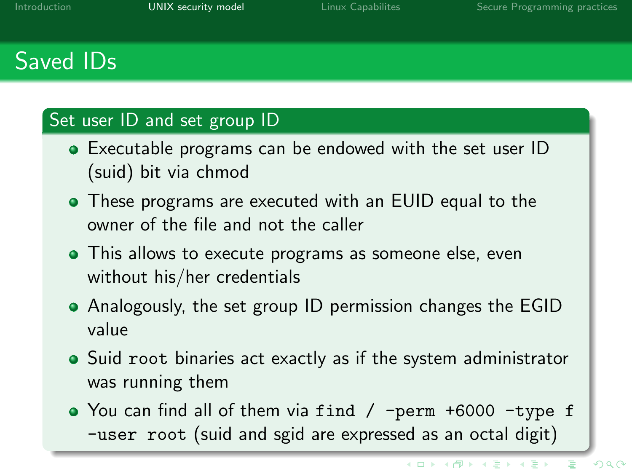# Saved IDs

#### Set user ID and set group ID

- Executable programs can be endowed with the set user ID (suid) bit via chmod
- These programs are executed with an EUID equal to the owner of the file and not the caller
- This allows to execute programs as someone else, even without his/her credentials
- Analogously, the set group ID permission changes the EGID value
- Suid root binaries act exactly as if the system administrator was running them
- You can find all of them via find / -perm +6000 -type f -user root (suid and sgid are expressed as an octal digit)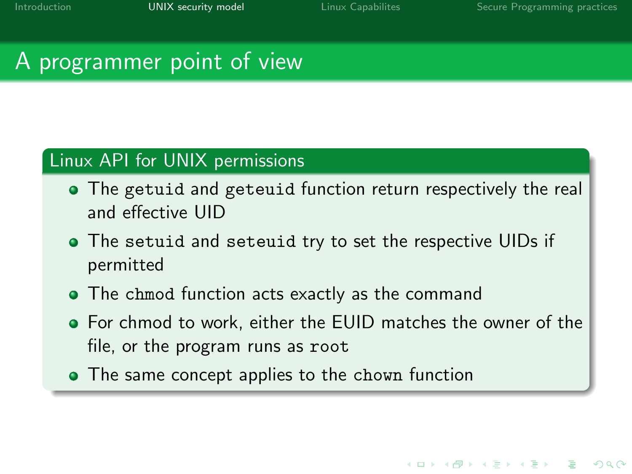**KORK EXTER IT ARE** 

## A programmer point of view

### Linux API for UNIX permissions

- The getuid and geteuid function return respectively the real and effective UID
- The setuid and seteuid try to set the respective UIDs if permitted
- The chmod function acts exactly as the command
- For chmod to work, either the EUID matches the owner of the file, or the program runs as root
- The same concept applies to the chown function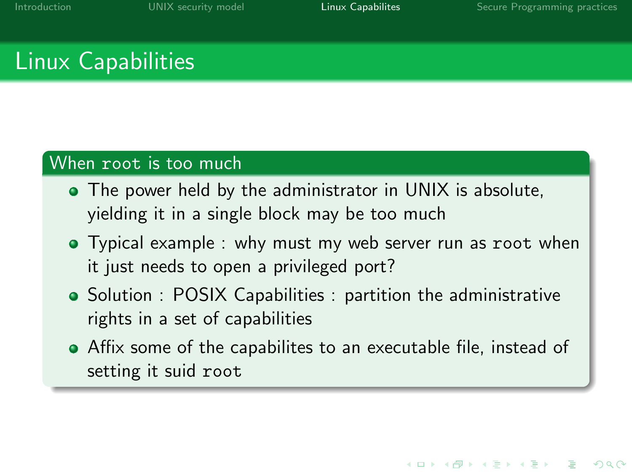# Linux Capabilities

### When root is too much

- The power held by the administrator in UNIX is absolute. yielding it in a single block may be too much
- Typical example : why must my web server run as root when it just needs to open a privileged port?
- Solution : POSIX Capabilities : partition the administrative rights in a set of capabilities
- <span id="page-12-0"></span>Affix some of the capabilites to an executable file, instead of setting it suid root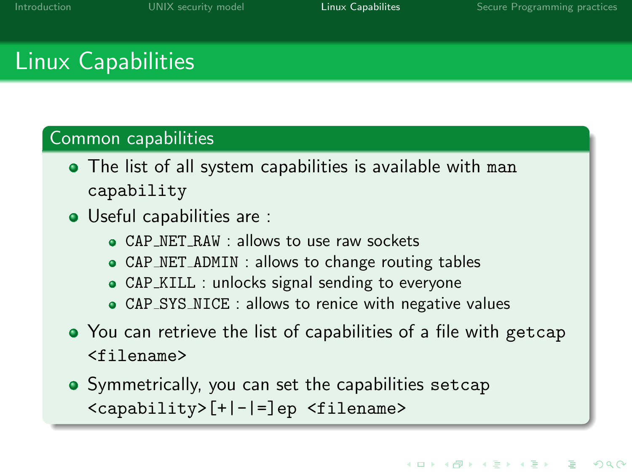# Linux Capabilities

### Common capabilities

- The list of all system capabilities is available with man capability
- Useful capabilities are :
	- CAP NET RAW : allows to use raw sockets
	- CAP NET ADMIN : allows to change routing tables
	- CAP KILL : unlocks signal sending to everyone
	- CAP SYS NICE : allows to renice with negative values
- You can retrieve the list of capabilities of a file with getcap <filename>
- Symmetrically, you can set the capabilities setcap <capability>[+|-|=]ep <filename>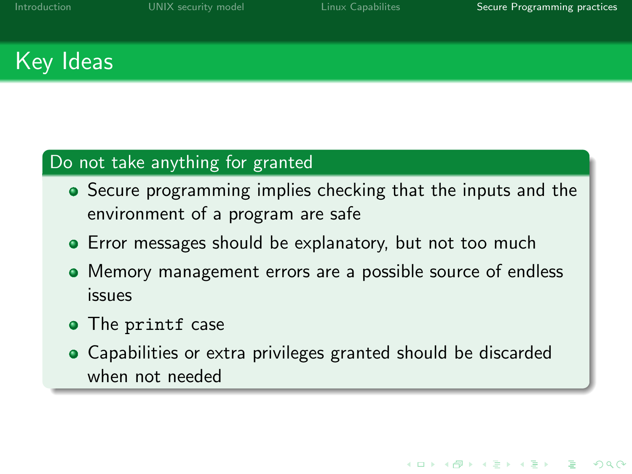**KORK EXTER IT ARE** 

# Key Ideas

### Do not take anything for granted

- Secure programming implies checking that the inputs and the environment of a program are safe
- **•** Error messages should be explanatory, but not too much
- Memory management errors are a possible source of endless issues
- The printf case
- Capabilities or extra privileges granted should be discarded when not needed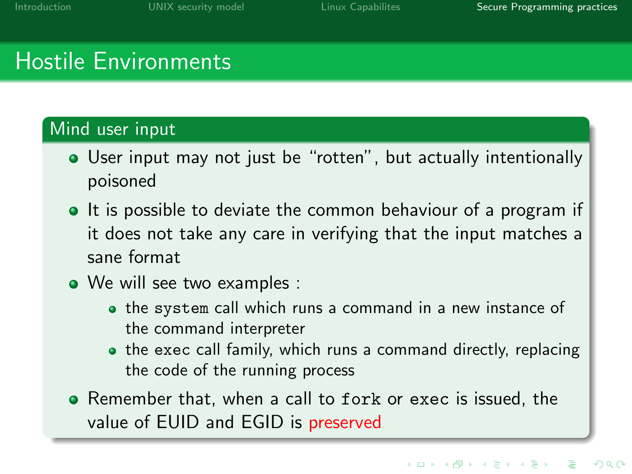## Hostile Environments

#### Mind user input

- User input may not just be "rotten", but actually intentionally poisoned
- It is possible to deviate the common behaviour of a program if it does not take any care in verifying that the input matches a sane format
- We will see two examples :
	- the system call which runs a command in a new instance of the command interpreter
	- the exec call family, which runs a command directly, replacing the code of the running process
- <span id="page-15-0"></span>Remember that, when a call to fork or exec is issued, the value of EUID and EGID is preserved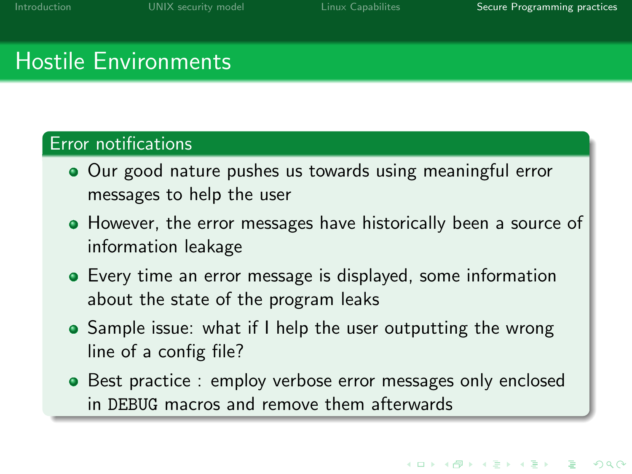## Hostile Environments

#### Error notifications

- Our good nature pushes us towards using meaningful error messages to help the user
- However, the error messages have historically been a source of information leakage
- Every time an error message is displayed, some information about the state of the program leaks
- Sample issue: what if I help the user outputting the wrong line of a config file?
- Best practice : employ verbose error messages only enclosed in DEBUG macros and remove them afterwards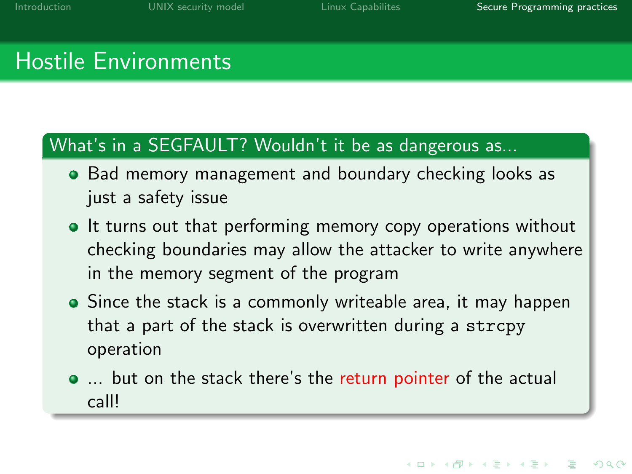## Hostile Environments

#### What's in a SEGFAULT? Wouldn't it be as dangerous as...

- Bad memory management and boundary checking looks as just a safety issue
- It turns out that performing memory copy operations without checking boundaries may allow the attacker to write anywhere in the memory segment of the program
- Since the stack is a commonly writeable area, it may happen that a part of the stack is overwritten during a strcpy operation
- ... but on the stack there's the return pointer of the actual call!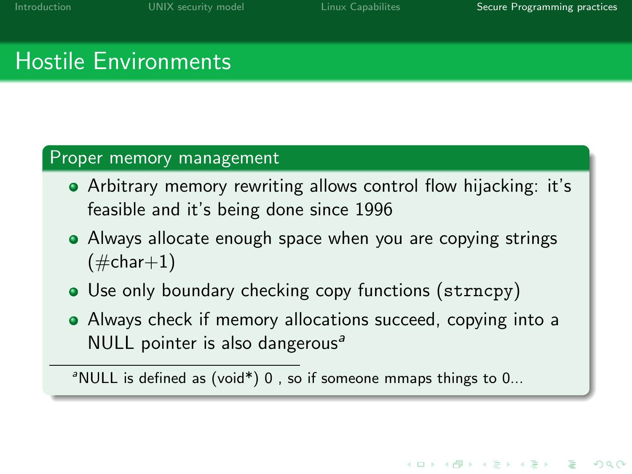## Hostile Environments

#### Proper memory management

- Arbitrary memory rewriting allows control flow hijacking: it's feasible and it's being done since 1996
- Always allocate enough space when you are copying strings  $(\#char+1)$
- Use only boundary checking copy functions (strncpy)
- Always check if memory allocations succeed, copying into a NULL pointer is also dangerous<sup>a</sup>

 $\textsuperscript{a}$  NULL is defined as (void\*) 0, so if someone mmaps things to 0...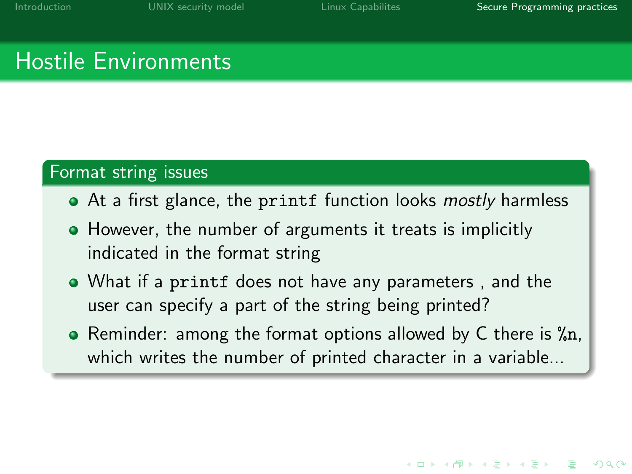**KORK EXTER IT ARE** 

## Hostile Environments

#### Format string issues

- At a first glance, the printf function looks *mostly* harmless
- However, the number of arguments it treats is implicitly indicated in the format string
- What if a printf does not have any parameters , and the user can specify a part of the string being printed?
- Reminder: among the format options allowed by C there is  $\gamma_{n}$ , which writes the number of printed character in a variable...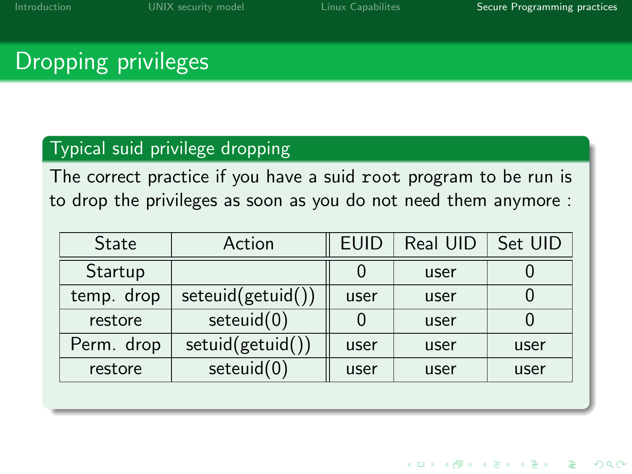# Dropping privileges

#### Typical suid privilege dropping

The correct practice if you have a suid root program to be run is to drop the privileges as soon as you do not need them anymore :

| <b>State</b> | Action            | <b>EUID</b> | Real UID | Set UID |
|--------------|-------------------|-------------|----------|---------|
| Startup      |                   |             | user     |         |
| temp. drop   | seteuid(getuid()) | user        | user     |         |
| restore      | seteuid(0)        |             | user     |         |
| Perm. drop   | setuid(getuid())  | user        | user     | user    |
| restore      | seteuid(0)        | user        | user     | user    |

**KORK STRAIN A BAR DE ROACH**